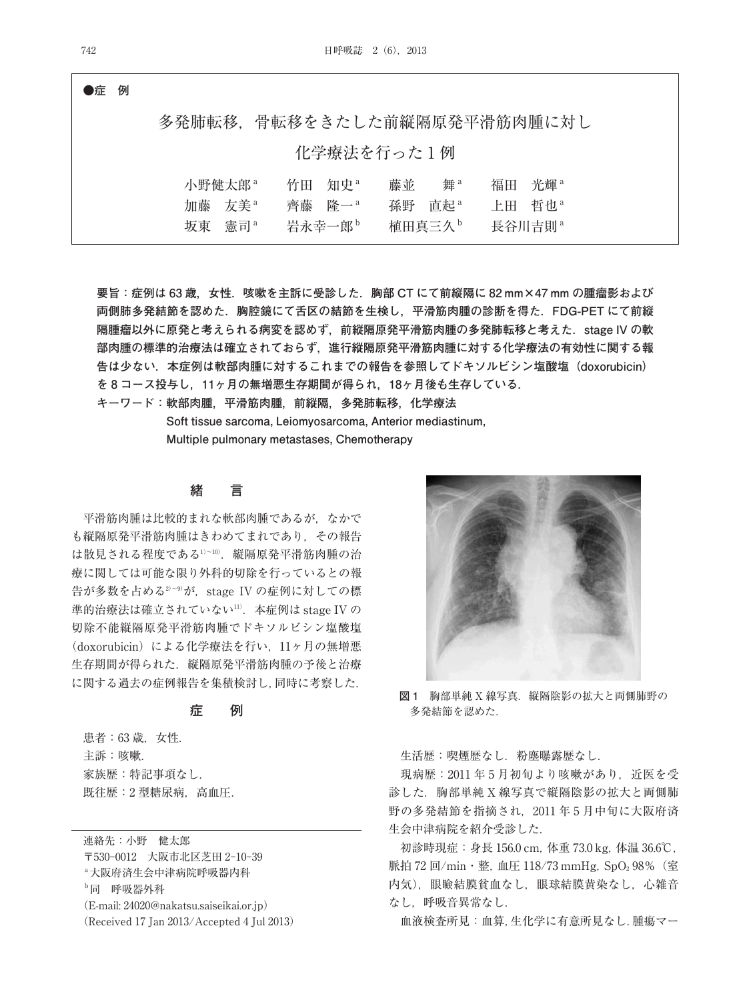**●症 例**

| 化学療法を行った1例<br>竹田 知史 <sup>a</sup><br>舞。<br>福田 光輝 <sup>a</sup><br>小野健太郎 <sup>a</sup><br>藤並<br>加藤 友美 <sup>a</sup><br>齊藤 降一 <sup>a</sup><br>上田 哲也<br>直起 <sup>a</sup><br>孫野<br>植田真三久。<br>岩永幸一郎 <sup>b</sup><br>坂東 憲司<br>長谷川吉則 <sup>。</sup> |  |  |  | 多発肺転移、骨転移をきたした前縦隔原発平滑筋肉腫に対し |  |  |  |
|---------------------------------------------------------------------------------------------------------------------------------------------------------------------------------------------------------------------------------------|--|--|--|-----------------------------|--|--|--|
|                                                                                                                                                                                                                                       |  |  |  |                             |  |  |  |
|                                                                                                                                                                                                                                       |  |  |  |                             |  |  |  |

**要旨:症例は 63 歳,女性.咳嗽を主訴に受診した.胸部 CT にて前縦隔に 82 mm×47 mm の腫瘤影および 両側肺多発結節を認めた.胸腔鏡にて舌区の結節を生検し,平滑筋肉腫の診断を得た.FDG-PET にて前縦 隔腫瘤以外に原発と考えられる病変を認めず,前縦隔原発平滑筋肉腫の多発肺転移と考えた.stage IV の軟 部肉腫の標準的治療法は確立されておらず,進行縦隔原発平滑筋肉腫に対する化学療法の有効性に関する報 告は少ない.本症例は軟部肉腫に対するこれまでの報告を参照してドキソルビシン塩酸塩(doxorubicin) を 8 コース投与し,11ヶ月の無増悪生存期間が得られ,18ヶ月後も生存している.**

**キーワード:軟部肉腫,平滑筋肉腫,前縦隔,多発肺転移,化学療法**

**Soft tissue sarcoma, Leiomyosarcoma, Anterior mediastinum, Multiple pulmonary metastases, Chemotherapy**

## **緒 言**

平滑筋肉腫は比較的まれな軟部肉腫であるが,なかで も縦隔原発平滑筋肉腫はきわめてまれであり,その報告 は散見される程度である1)~10) .縦隔原発平滑筋肉腫の治 療に関しては可能な限り外科的切除を行っているとの報 告が多数を占める<sup>2)~9)</sup>が,stage IV の症例に対しての標 準的治療法は確立されていない<sup>!!)</sup>.本症例は stage IV の 切除不能縦隔原発平滑筋肉腫でドキソルビシン塩酸塩 (doxorubicin)による化学療法を行い、11ヶ月の無増悪 生存期間が得られた. 縦隔原発平滑筋肉腫の予後と治療 に関する過去の症例報告を集積検討し,同時に考察した.

## **症 例**

患者:63 歳, 女性. 主訴:咳嗽. 家族歴:特記事項なし. 既往歴:2 型糖尿病,高血圧.

連絡先:小野 健太郎 〒530-0012 大阪市北区芝田 2-10-39 a大阪府済生会中津病院呼吸器内科 b同 呼吸器外科 (E-mail: 24020@nakatsu.saiseikai.or.jp) (Received 17 Jan 2013/Accepted 4 Jul 2013)



**図 1** 胸部単純 X 線写真.縦隔陰影の拡大と両側肺野の 多発結節を認めた.

生活歴:喫煙歴なし. 粉塵曝露歴なし.

現病歴: 2011年5月初旬より咳嗽があり、近医を受 診した.胸部単純 X 線写真で縦隔陰影の拡大と両側肺 野の多発結節を指摘され,2011 年 5 月中旬に大阪府済 生会中津病院を紹介受診した.

初診時現症:身長 156.0 cm,体重 73.0 kg,体温 36.6℃, 脈拍 72 回/min · 整, 血圧 118/73 mmHg, SpO<sub>2</sub> 98% (室 内気),眼瞼結膜貧血なし,眼球結膜黄染なし,心雑音 なし,呼吸音異常なし.

血液検査所見:血算,生化学に有意所見なし.腫瘍マー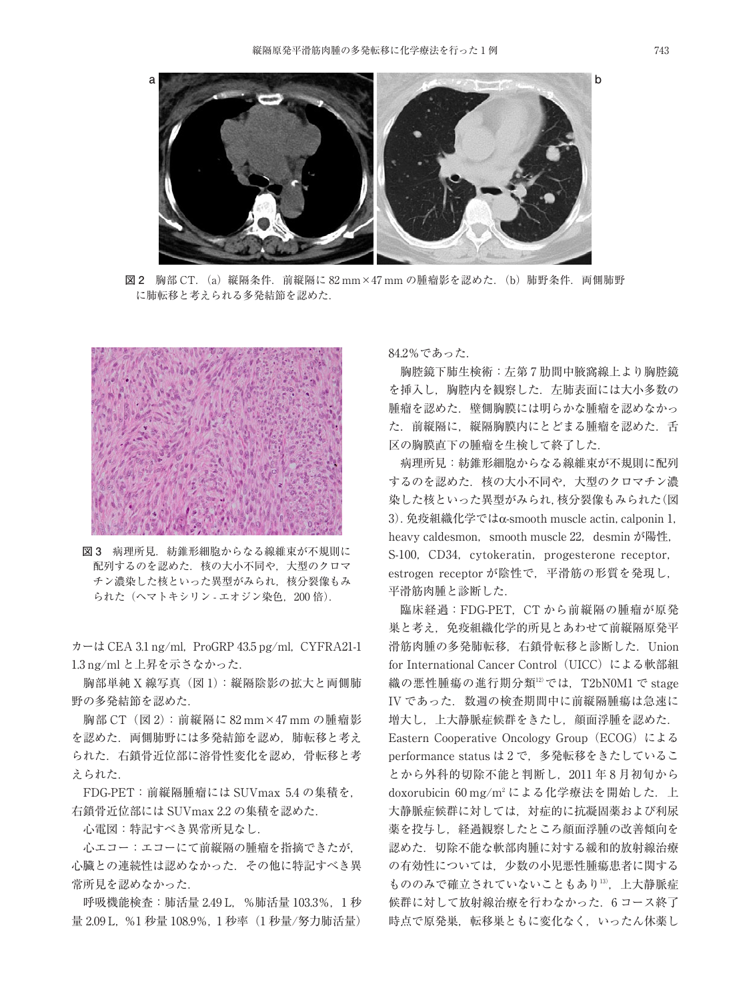

**図 2** 胸部 CT.(a)縦隔条件.前縦隔に 82 mm×47 mm の腫瘤影を認めた.(b)肺野条件.両側肺野 に肺転移と考えられる多発結節を認めた.



**図 3** 病理所見.紡錐形細胞からなる線維束が不規則に 配列するのを認めた. 核の大小不同や、大型のクロマ チン濃染した核といった異型がみられ、核分裂像もみ られた (ヘマトキシリン - エオジン染色, 200倍).

 $\pi$  – は CEA 3.1 ng/ml, ProGRP 43.5 pg/ml, CYFRA21-1 1.3 ng/ml と上昇を示さなかった.

胸部単純 X 線写真(図 1):縦隔陰影の拡大と両側肺 野の多発結節を認めた.

胸部 CT(図 2):前縦隔に 82 mm×47 mm の腫瘤影 を認めた.両側肺野には多発結節を認め,肺転移と考え られた.右鎖骨近位部に溶骨性変化を認め,骨転移と考 えられた.

FDG-PET:前縦隔腫瘤には SUVmax 5.4 の集積を, 右鎖骨近位部には SUVmax 2.2 の集積を認めた.

心電図:特記すべき異常所見なし.

心エコー:エコーにて前縦隔の腫瘤を指摘できたが, 心臓との連続性は認めなかった.その他に特記すべき異 常所見を認めなかった.

呼吸機能検査:肺活量 2.49 L,%肺活量 103.3%,1 秒 量 2.09 L, %1 秒量 108.9%, 1 秒率 (1 秒量/努力肺活量) 84.2%であった.

胸腔鏡下肺生検術:左第 7 肋間中腋窩線上より胸腔鏡 を挿入し、胸腔内を観察した. 左肺表面には大小多数の 腫瘤を認めた. 壁側胸膜には明らかな腫瘤を認めなかっ た.前縦隔に,縦隔胸膜内にとどまる腫瘤を認めた.舌 区の胸膜直下の腫瘤を生検して終了した.

病理所見:紡錐形細胞からなる線維束が不規則に配列 するのを認めた. 核の大小不同や、大型のクロマチン濃 染した核といった異型がみられ、核分裂像もみられた(図 3).免疫組織化学ではα-smooth muscle actin,calponin 1, heavy caldesmon, smooth muscle 22, desmin が陽性, S-100, CD34, cytokeratin, progesterone receptor, estrogen receptor が陰性で,平滑筋の形質を発現し, 平滑筋肉腫と診断した.

臨床経過:FDG-PET, CT から前縦隔の腫瘤が原発 巣と考え,免疫組織化学的所見とあわせて前縦隔原発平 滑筋肉腫の多発肺転移、右鎖骨転移と診断した. Union for International Cancer Control (UICC)による軟部組 織の悪性腫瘍の進行期分類<sup>12</sup>では,T2bN0M1 で stage IV であった. 数週の検査期間中に前縦隔腫瘍は急速に 増大し,上大静脈症候群をきたし,顔面浮腫を認めた. Eastern Cooperative Oncology Group(ECOG)による performance status は2で、多発転移をきたしているこ とから外科的切除不能と判断し,2011 年 8 月初旬から doxorubicin 60 mg/m2 による化学療法を開始した. 上 大静脈症候群に対しては,対症的に抗凝固薬および利尿 薬を投与し,経過観察したところ顔面浮腫の改善傾向を 認めた.切除不能な軟部肉腫に対する緩和的放射線治療 の有効性については,少数の小児悪性腫瘍患者に関する もののみで確立されていないこともあり13),上大静脈症 候群に対して放射線治療を行わなかった.6 コース終了 時点で原発巣,転移巣ともに変化なく,いったん休薬し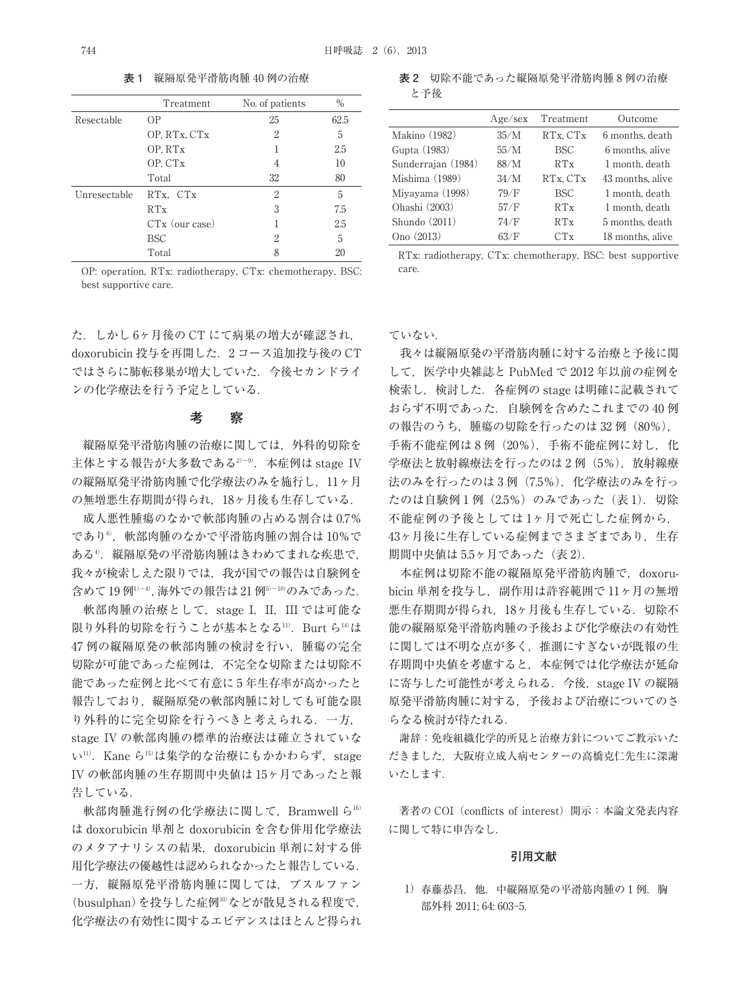|              | Treatment        | No. of patients | $\%$ |
|--------------|------------------|-----------------|------|
| Resectable   | 0P               | 25              | 62.5 |
|              | OP, RTx, CTx     | 2               | 5    |
|              | OP. RTx          |                 | 2.5  |
|              | OP. CTx          | 4               | 10   |
|              | Total            | 32              | 80   |
| Unresectable | RTx, CTx         | 2               | 5    |
|              | RTx              | 3               | 7.5  |
|              | $CTx$ (our case) |                 | 2.5  |
|              | <b>BSC</b>       | 2               | 5    |
|              | Total            | 8               | 20   |

**表 1** 縦隔原発平滑筋肉腫 40 例の治療

OP: operation, RTx: radiotherapy, CTx: chemotherapy, BSC: best supportive care.

た.しかし 6ヶ月後の CT にて病巣の増大が確認され, doxorubicin 投与を再開した.2 コース追加投与後の CT ではさらに肺転移巣が増大していた.今後セカンドライ ンの化学療法を行う予定としている.

## **考 察**

縦隔原発平滑筋肉腫の治療に関しては,外科的切除を 主体とする報告が大多数である<sup>2〜9)</sup>.本症例は stage IV の縦隔原発平滑筋肉腫で化学療法のみを施行し,11ヶ月 の無増悪生存期間が得られ,18ヶ月後も生存している.

成人悪性腫瘍のなかで軟部肉腫の占める割合は 0.7% であり©,軟部肉腫のなかで平滑筋肉腫の割合は 10%で ある4) .縦隔原発の平滑筋肉腫はきわめてまれな疾患で, 我々が検索しえた限りでは、我が国での報告は自験例を 含めて 19 例1)~4) ,海外での報告は 21 例5)~10) のみであった.

軟部肉腫の治療として、stage I, II, III では可能な 限り外科的切除を行うことが基本となる'''.Burt ら'4'は 47 例の縦隔原発の軟部肉腫の検討を行い,腫瘍の完全 切除が可能であった症例は,不完全な切除または切除不 能であった症例と比べて有意に 5 年生存率が高かったと 報告しており,縦隔原発の軟部肉腫に対しても可能な限 り外科的に完全切除を行うべきと考えられる.一方, stage IV の軟部肉腫の標準的治療法は確立されていな い<sup>11)</sup>. Kane ら<sup>15)</sup>は集学的な治療にもかかわらず, stage IV の軟部肉腫の生存期間中央値は 15ヶ月であったと報 告している.

軟部肉腫進行例の化学療法に関して、Bramwell ら $^{16}$ は doxorubicin 単剤と doxorubicin を含む併用化学療法 のメタアナリシスの結果,doxorubicin 単剤に対する併 用化学療法の優越性は認められなかったと報告している. 一方,縦隔原発平滑筋肉腫に関しては,ブスルファン (busulphan)を投与した症例10) などが散見される程度で, 化学療法の有効性に関するエビデンスはほとんど得られ

**表 2** 切除不能であった縦隔原発平滑筋肉腫 8 例の治療 と予後

|                    | Age/sec | Treatment  | Outcome          |
|--------------------|---------|------------|------------------|
| Makino (1982)      | 35/M    | RTx, CTx   | 6 months, death  |
| Gupta (1983)       | 55/M    | <b>BSC</b> | 6 months, alive  |
| Sunderrajan (1984) | 88/M    | RTx        | 1 month, death   |
| Mishima (1989)     | 34/M    | RTx, CTx   | 43 months, alive |
| Miyayama (1998)    | 79/F    | <b>BSC</b> | 1 month, death   |
| Ohashi (2003)      | 57/F    | RTx        | 1 month, death   |
| Shundo $(2011)$    | 74/F    | RTx        | 5 months, death  |
| Ono (2013)         | 63/F    | CTx        | 18 months, alive |

RTx: radiotherapy, CTx: chemotherapy, BSC: best supportive care.

### ていない.

我々は縦隔原発の平滑筋肉腫に対する治療と予後に関 して,医学中央雑誌と PubMed で 2012 年以前の症例を 検索し,検討した.各症例の stage は明確に記載されて おらず不明であった.自験例を含めたこれまでの 40 例 の報告のうち,腫瘍の切除を行ったのは 32 例(80%), 手術不能症例は 8例 (20%), 手術不能症例に対し、化 学療法と放射線療法を行ったのは2例(5%),放射線療 法のみを行ったのは3例(7.5%), 化学療法のみを行っ たのは自験例1例 (2.5%) のみであった (表 1). 切除 不能症例の予後としては 1ヶ月で死亡した症例から, 43ヶ月後に生存している症例までさまざまであり、生存 期間中央値は 5.5ヶ月であった(表 2).

本症例は切除不能の縦隔原発平滑筋肉腫で, doxorubicin 単剤を投与し、副作用は許容範囲で11ヶ月の無増 悪生存期間が得られ、18ヶ月後も生存している. 切除不 能の縦隔原発平滑筋肉腫の予後および化学療法の有効性 に関しては不明な点が多く,推測にすぎないが既報の生 存期間中央値を考慮すると,本症例では化学療法が延命 に寄与した可能性が考えられる. 今後, stage IV の縦隔 原発平滑筋肉腫に対する,予後および治療についてのさ らなる検討が待たれる.

謝辞:免疫組織化学的所見と治療方針についてご教示いた だきました,大阪府立成人病センターの高橋克仁先生に深謝 いたします.

著者の COI (conflicts of interest) 開示:本論文発表内容 に関して特に申告なし.

### **引用文献**

1)春藤恭昌.他.中縦隔原発の平滑筋肉腫の1例.胸 部外科 2011; 64: 603-5.